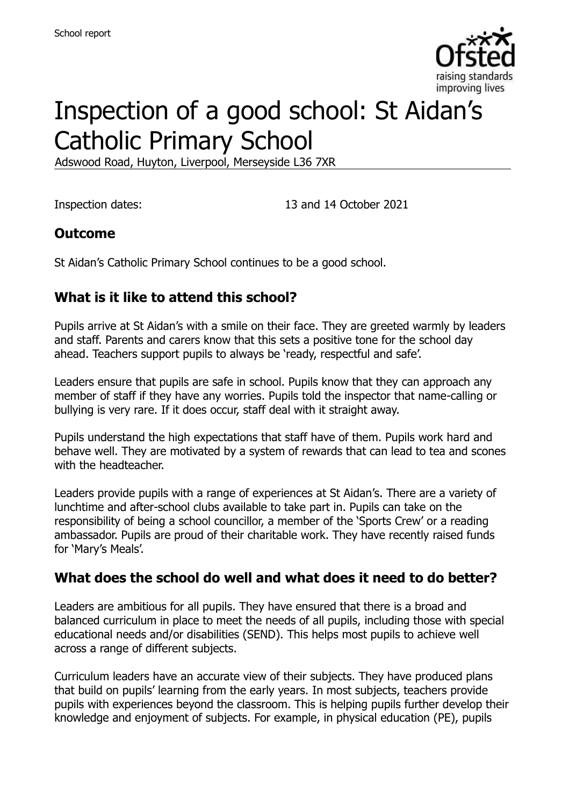

# Inspection of a good school: St Aidan's Catholic Primary School

Adswood Road, Huyton, Liverpool, Merseyside L36 7XR

Inspection dates: 13 and 14 October 2021

#### **Outcome**

St Aidan's Catholic Primary School continues to be a good school.

#### **What is it like to attend this school?**

Pupils arrive at St Aidan's with a smile on their face. They are greeted warmly by leaders and staff. Parents and carers know that this sets a positive tone for the school day ahead. Teachers support pupils to always be 'ready, respectful and safe'.

Leaders ensure that pupils are safe in school. Pupils know that they can approach any member of staff if they have any worries. Pupils told the inspector that name-calling or bullying is very rare. If it does occur, staff deal with it straight away.

Pupils understand the high expectations that staff have of them. Pupils work hard and behave well. They are motivated by a system of rewards that can lead to tea and scones with the headteacher

Leaders provide pupils with a range of experiences at St Aidan's. There are a variety of lunchtime and after-school clubs available to take part in. Pupils can take on the responsibility of being a school councillor, a member of the 'Sports Crew' or a reading ambassador. Pupils are proud of their charitable work. They have recently raised funds for 'Mary's Meals'.

#### **What does the school do well and what does it need to do better?**

Leaders are ambitious for all pupils. They have ensured that there is a broad and balanced curriculum in place to meet the needs of all pupils, including those with special educational needs and/or disabilities (SEND). This helps most pupils to achieve well across a range of different subjects.

Curriculum leaders have an accurate view of their subjects. They have produced plans that build on pupils' learning from the early years. In most subjects, teachers provide pupils with experiences beyond the classroom. This is helping pupils further develop their knowledge and enjoyment of subjects. For example, in physical education (PE), pupils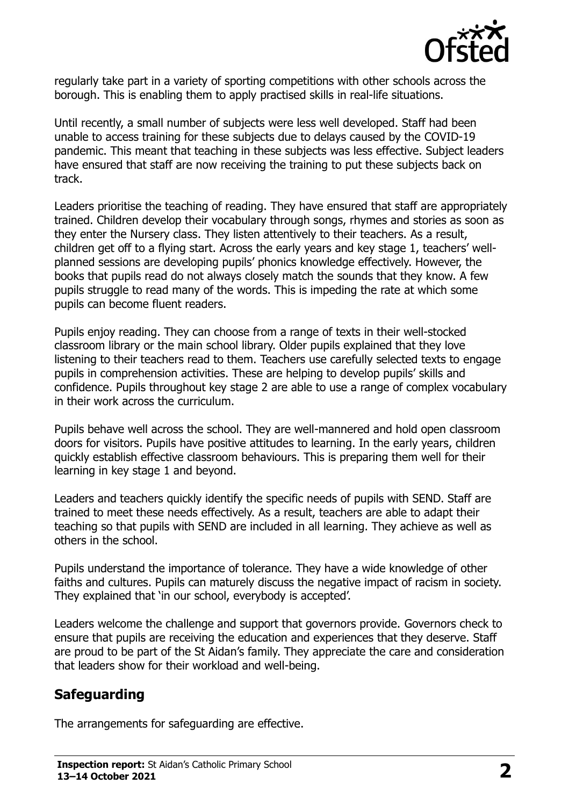

regularly take part in a variety of sporting competitions with other schools across the borough. This is enabling them to apply practised skills in real-life situations.

Until recently, a small number of subjects were less well developed. Staff had been unable to access training for these subjects due to delays caused by the COVID-19 pandemic. This meant that teaching in these subjects was less effective. Subject leaders have ensured that staff are now receiving the training to put these subjects back on track.

Leaders prioritise the teaching of reading. They have ensured that staff are appropriately trained. Children develop their vocabulary through songs, rhymes and stories as soon as they enter the Nursery class. They listen attentively to their teachers. As a result, children get off to a flying start. Across the early years and key stage 1, teachers' wellplanned sessions are developing pupils' phonics knowledge effectively. However, the books that pupils read do not always closely match the sounds that they know. A few pupils struggle to read many of the words. This is impeding the rate at which some pupils can become fluent readers.

Pupils enjoy reading. They can choose from a range of texts in their well-stocked classroom library or the main school library. Older pupils explained that they love listening to their teachers read to them. Teachers use carefully selected texts to engage pupils in comprehension activities. These are helping to develop pupils' skills and confidence. Pupils throughout key stage 2 are able to use a range of complex vocabulary in their work across the curriculum.

Pupils behave well across the school. They are well-mannered and hold open classroom doors for visitors. Pupils have positive attitudes to learning. In the early years, children quickly establish effective classroom behaviours. This is preparing them well for their learning in key stage 1 and beyond.

Leaders and teachers quickly identify the specific needs of pupils with SEND. Staff are trained to meet these needs effectively. As a result, teachers are able to adapt their teaching so that pupils with SEND are included in all learning. They achieve as well as others in the school.

Pupils understand the importance of tolerance. They have a wide knowledge of other faiths and cultures. Pupils can maturely discuss the negative impact of racism in society. They explained that 'in our school, everybody is accepted'.

Leaders welcome the challenge and support that governors provide. Governors check to ensure that pupils are receiving the education and experiences that they deserve. Staff are proud to be part of the St Aidan's family. They appreciate the care and consideration that leaders show for their workload and well-being.

#### **Safeguarding**

The arrangements for safeguarding are effective.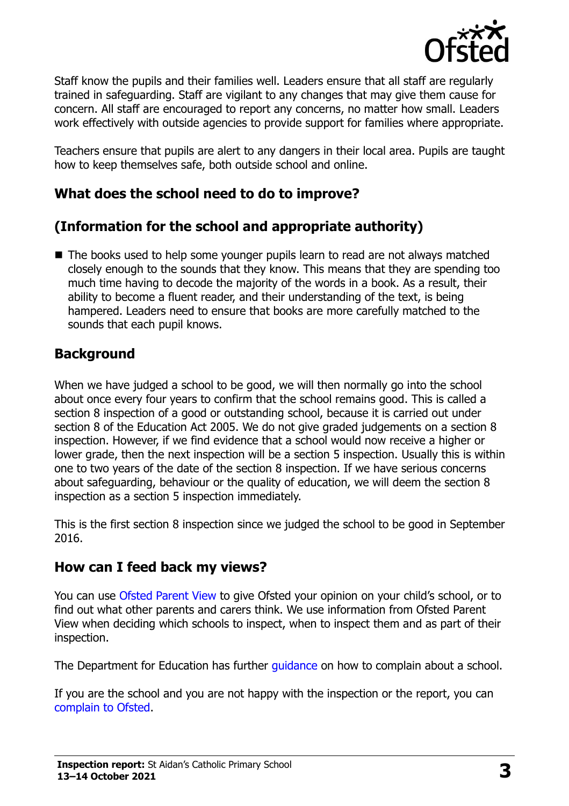

Staff know the pupils and their families well. Leaders ensure that all staff are regularly trained in safeguarding. Staff are vigilant to any changes that may give them cause for concern. All staff are encouraged to report any concerns, no matter how small. Leaders work effectively with outside agencies to provide support for families where appropriate.

Teachers ensure that pupils are alert to any dangers in their local area. Pupils are taught how to keep themselves safe, both outside school and online.

#### **What does the school need to do to improve?**

## **(Information for the school and appropriate authority)**

■ The books used to help some younger pupils learn to read are not always matched closely enough to the sounds that they know. This means that they are spending too much time having to decode the majority of the words in a book. As a result, their ability to become a fluent reader, and their understanding of the text, is being hampered. Leaders need to ensure that books are more carefully matched to the sounds that each pupil knows.

#### **Background**

When we have judged a school to be good, we will then normally go into the school about once every four years to confirm that the school remains good. This is called a section 8 inspection of a good or outstanding school, because it is carried out under section 8 of the Education Act 2005. We do not give graded judgements on a section 8 inspection. However, if we find evidence that a school would now receive a higher or lower grade, then the next inspection will be a section 5 inspection. Usually this is within one to two years of the date of the section 8 inspection. If we have serious concerns about safeguarding, behaviour or the quality of education, we will deem the section 8 inspection as a section 5 inspection immediately.

This is the first section 8 inspection since we judged the school to be good in September 2016.

#### **How can I feed back my views?**

You can use [Ofsted Parent View](https://parentview.ofsted.gov.uk/) to give Ofsted your opinion on your child's school, or to find out what other parents and carers think. We use information from Ofsted Parent View when deciding which schools to inspect, when to inspect them and as part of their inspection.

The Department for Education has further quidance on how to complain about a school.

If you are the school and you are not happy with the inspection or the report, you can [complain to Ofsted.](https://www.gov.uk/complain-ofsted-report)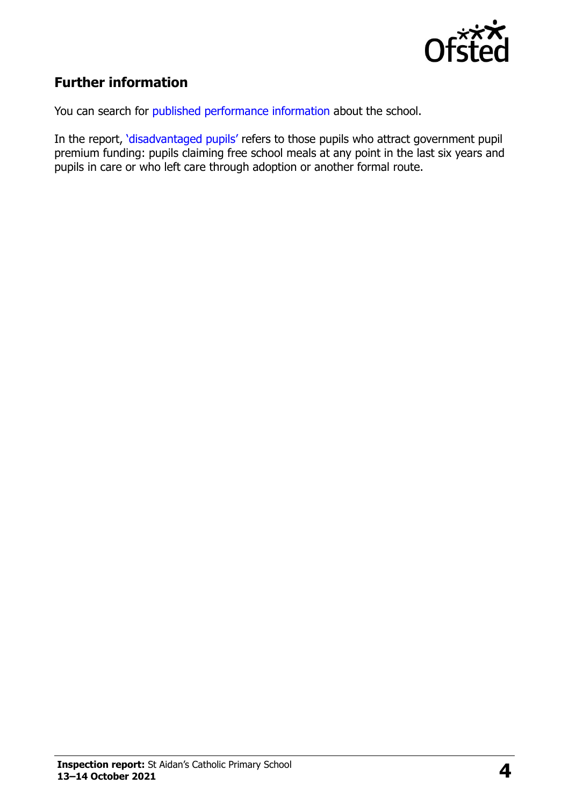

## **Further information**

You can search for [published performance information](http://www.compare-school-performance.service.gov.uk/) about the school.

In the report, '[disadvantaged pupils](http://www.gov.uk/guidance/pupil-premium-information-for-schools-and-alternative-provision-settings)' refers to those pupils who attract government pupil premium funding: pupils claiming free school meals at any point in the last six years and pupils in care or who left care through adoption or another formal route.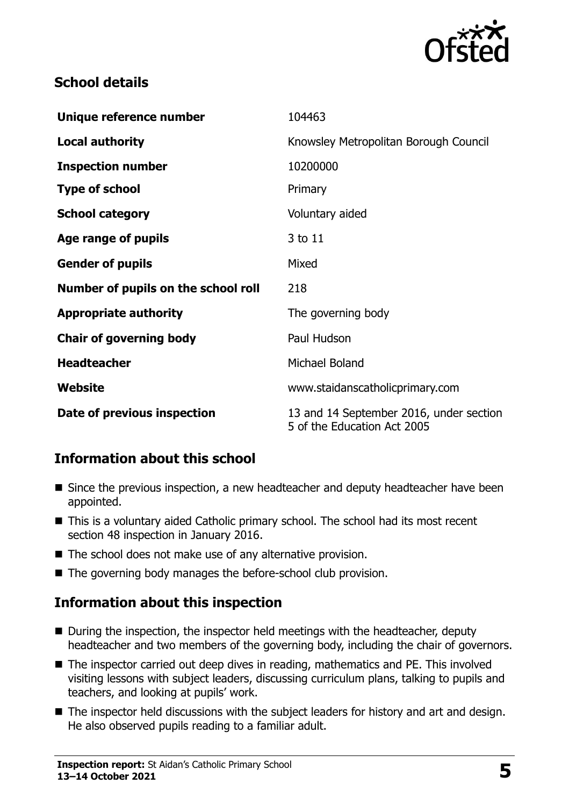

#### **School details**

| Unique reference number             | 104463                                                                 |
|-------------------------------------|------------------------------------------------------------------------|
| <b>Local authority</b>              | Knowsley Metropolitan Borough Council                                  |
| <b>Inspection number</b>            | 10200000                                                               |
| <b>Type of school</b>               | Primary                                                                |
| <b>School category</b>              | Voluntary aided                                                        |
| Age range of pupils                 | 3 to 11                                                                |
| <b>Gender of pupils</b>             | Mixed                                                                  |
| Number of pupils on the school roll | 218                                                                    |
| <b>Appropriate authority</b>        | The governing body                                                     |
| <b>Chair of governing body</b>      | Paul Hudson                                                            |
| <b>Headteacher</b>                  | Michael Boland                                                         |
| Website                             | www.staidanscatholicprimary.com                                        |
| Date of previous inspection         | 13 and 14 September 2016, under section<br>5 of the Education Act 2005 |

## **Information about this school**

- Since the previous inspection, a new headteacher and deputy headteacher have been appointed.
- This is a voluntary aided Catholic primary school. The school had its most recent section 48 inspection in January 2016.
- The school does not make use of any alternative provision.
- The governing body manages the before-school club provision.

## **Information about this inspection**

- During the inspection, the inspector held meetings with the headteacher, deputy headteacher and two members of the governing body, including the chair of governors.
- The inspector carried out deep dives in reading, mathematics and PE. This involved visiting lessons with subject leaders, discussing curriculum plans, talking to pupils and teachers, and looking at pupils' work.
- The inspector held discussions with the subject leaders for history and art and design. He also observed pupils reading to a familiar adult.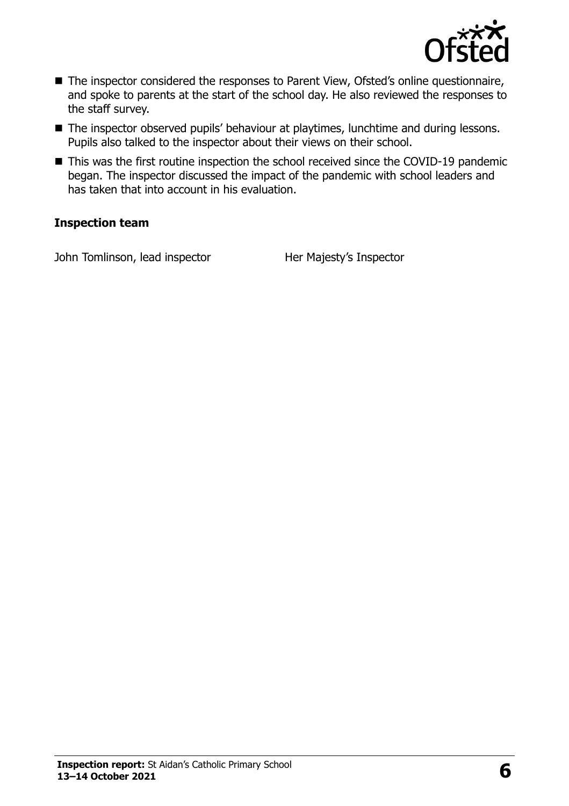

- The inspector considered the responses to Parent View, Ofsted's online questionnaire, and spoke to parents at the start of the school day. He also reviewed the responses to the staff survey.
- The inspector observed pupils' behaviour at playtimes, lunchtime and during lessons. Pupils also talked to the inspector about their views on their school.
- This was the first routine inspection the school received since the COVID-19 pandemic began. The inspector discussed the impact of the pandemic with school leaders and has taken that into account in his evaluation.

#### **Inspection team**

John Tomlinson, lead inspector Her Majesty's Inspector